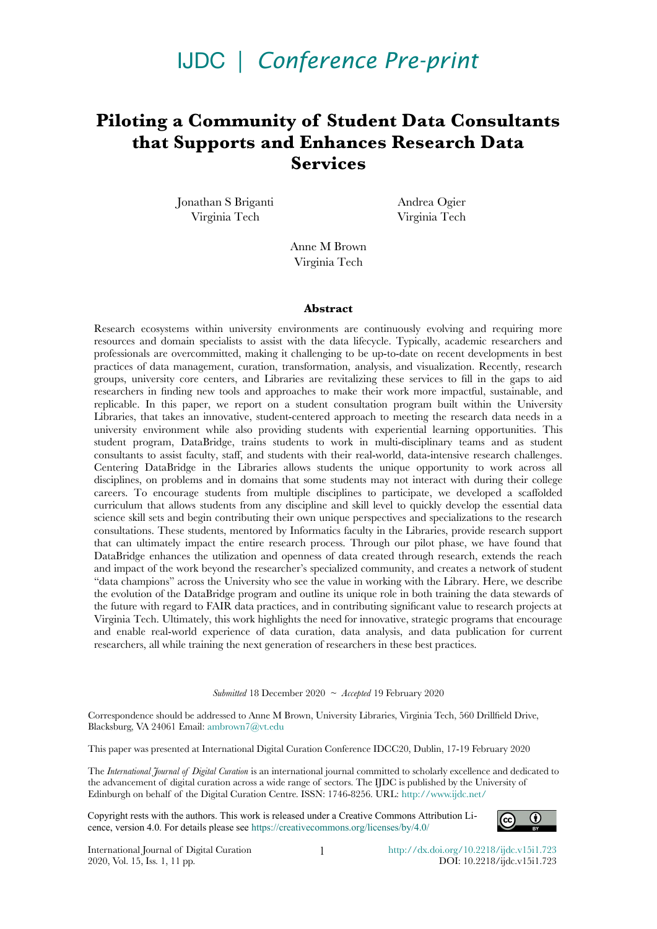# IJDC *| Conference Pre-print*

# **Piloting a Community of Student Data Consultants that Supports and Enhances Research Data Services**

Jonathan S Briganti Virginia Tech

Andrea Ogier Virginia Tech

Anne M Brown Virginia Tech

#### **Abstract**

Research ecosystems within university environments are continuously evolving and requiring more resources and domain specialists to assist with the data lifecycle. Typically, academic researchers and professionals are overcommitted, making it challenging to be up-to-date on recent developments in best practices of data management, curation, transformation, analysis, and visualization. Recently, research groups, university core centers, and Libraries are revitalizing these services to fll in the gaps to aid researchers in fnding new tools and approaches to make their work more impactful, sustainable, and replicable. In this paper, we report on a student consultation program built within the University Libraries, that takes an innovative, student-centered approach to meeting the research data needs in a university environment while also providing students with experiential learning opportunities. This student program, DataBridge, trains students to work in multi-disciplinary teams and as student consultants to assist faculty, staff, and students with their real-world, data-intensive research challenges. Centering DataBridge in the Libraries allows students the unique opportunity to work across all disciplines, on problems and in domains that some students may not interact with during their college careers. To encourage students from multiple disciplines to participate, we developed a scaffolded curriculum that allows students from any discipline and skill level to quickly develop the essential data science skill sets and begin contributing their own unique perspectives and specializations to the research consultations. These students, mentored by Informatics faculty in the Libraries, provide research support that can ultimately impact the entire research process. Through our pilot phase, we have found that DataBridge enhances the utilization and openness of data created through research, extends the reach and impact of the work beyond the researcher's specialized community, and creates a network of student "data champions" across the University who see the value in working with the Library. Here, we describe the evolution of the DataBridge program and outline its unique role in both training the data stewards of the future with regard to FAIR data practices, and in contributing signifcant value to research projects at Virginia Tech. Ultimately, this work highlights the need for innovative, strategic programs that encourage and enable real-world experience of data curation, data analysis, and data publication for current researchers, all while training the next generation of researchers in these best practices.

*Submitted* 18 December 2020 ~ *Accepted* 19 February 2020

Correspondence should be addressed to Anne M Brown, University Libraries, Virginia Tech, 560 Drillfeld Drive, Blacksburg, VA 24061 Email: [ambrown7@vt.edu](mailto:ambrown7@vt.edu)

This paper was presented at International Digital Curation Conference IDCC20, Dublin, 17-19 February 2020

The *International Journal of Digital Curation* is an international journal committed to scholarly excellence and dedicated to the advancement of digital curation across a wide range of sectors. The IJDC is published by the University of Edinburgh on behalf of the Digital Curation Centre. ISSN: 1746-8256. URL:<http://www.ijdc.net/>

Copyright rests with the authors. This work is released under a Creative Commons Attribution Licence, version 4.0. For details please see https://creativecommons.org/licenses/by/4.0/



International Journal of Digital Curation 2020, Vol. 15, Iss. 1, 11 pp.

1 [http://dx.doi.org/10.2218/ijdc.v](http://dx.doi.org/10.2218/ijdc.v15i1.723)[15i1.723](http://dx.doi.org/10.2218/ijdc.v0i0.0) DOI: 10.2218/ijdc.v15i1.723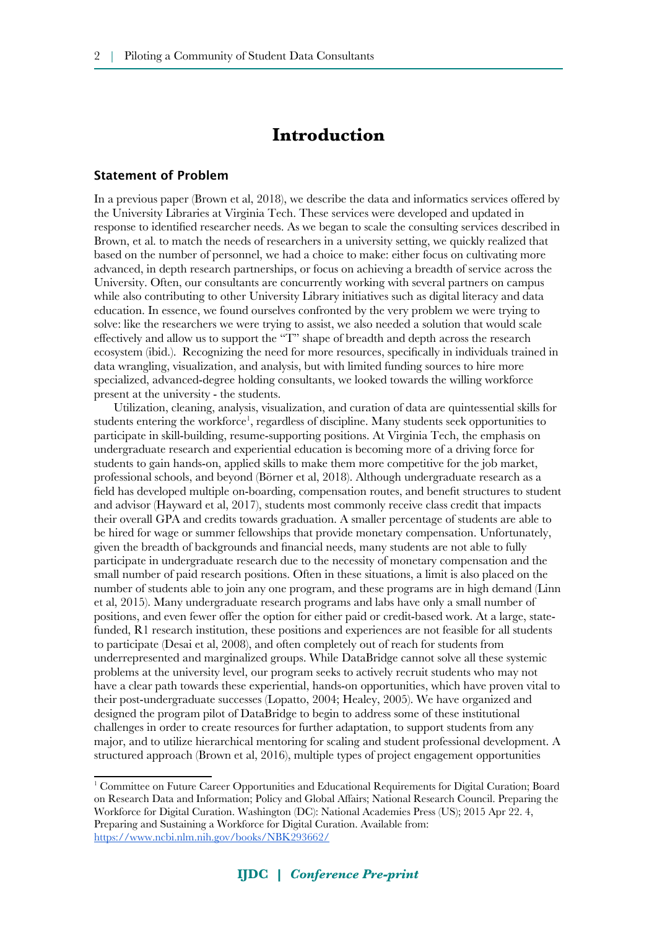# **Introduction**

#### Statement of Problem

In a previous paper (Brown et al, 2018), we describe the data and informatics services offered by the University Libraries at Virginia Tech. These services were developed and updated in response to identifed researcher needs. As we began to scale the consulting services described in Brown, et al. to match the needs of researchers in a university setting, we quickly realized that based on the number of personnel, we had a choice to make: either focus on cultivating more advanced, in depth research partnerships, or focus on achieving a breadth of service across the University. Often, our consultants are concurrently working with several partners on campus while also contributing to other University Library initiatives such as digital literacy and data education. In essence, we found ourselves confronted by the very problem we were trying to solve: like the researchers we were trying to assist, we also needed a solution that would scale effectively and allow us to support the "T" shape of breadth and depth across the research ecosystem (ibid.). Recognizing the need for more resources, specifcally in individuals trained in data wrangling, visualization, and analysis, but with limited funding sources to hire more specialized, advanced-degree holding consultants, we looked towards the willing workforce present at the university - the students.

Utilization, cleaning, analysis, visualization, and curation of data are quintessential skills for students entering the workforce<sup>[1](#page-1-0)</sup>, regardless of discipline. Many students seek opportunities to participate in skill-building, resume-supporting positions. At Virginia Tech, the emphasis on undergraduate research and experiential education is becoming more of a driving force for students to gain hands-on, applied skills to make them more competitive for the job market, professional schools, and beyond (Börner et al, 2018). Although undergraduate research as a feld has developed multiple on-boarding, compensation routes, and beneft structures to student and advisor (Hayward et al, 2017), students most commonly receive class credit that impacts their overall GPA and credits towards graduation. A smaller percentage of students are able to be hired for wage or summer fellowships that provide monetary compensation. Unfortunately, given the breadth of backgrounds and fnancial needs, many students are not able to fully participate in undergraduate research due to the necessity of monetary compensation and the small number of paid research positions. Often in these situations, a limit is also placed on the number of students able to join any one program, and these programs are in high demand (Linn et al, 2015). Many undergraduate research programs and labs have only a small number of positions, and even fewer offer the option for either paid or credit-based work. At a large, statefunded, R1 research institution, these positions and experiences are not feasible for all students to participate (Desai et al, 2008), and often completely out of reach for students from underrepresented and marginalized groups. While DataBridge cannot solve all these systemic problems at the university level, our program seeks to actively recruit students who may not have a clear path towards these experiential, hands-on opportunities, which have proven vital to their post-undergraduate successes (Lopatto, 2004; Healey, 2005). We have organized and designed the program pilot of DataBridge to begin to address some of these institutional challenges in order to create resources for further adaptation, to support students from any major, and to utilize hierarchical mentoring for scaling and student professional development. A structured approach (Brown et al, 2016), multiple types of project engagement opportunities

<span id="page-1-0"></span><sup>1</sup> Committee on Future Career Opportunities and Educational Requirements for Digital Curation; Board on Research Data and Information; Policy and Global Affairs; National Research Council. Preparing the Workforce for Digital Curation. Washington (DC): National Academies Press (US); 2015 Apr 22. 4, Preparing and Sustaining a Workforce for Digital Curation. Available from: <https://www.ncbi.nlm.nih.gov/books/NBK293662/>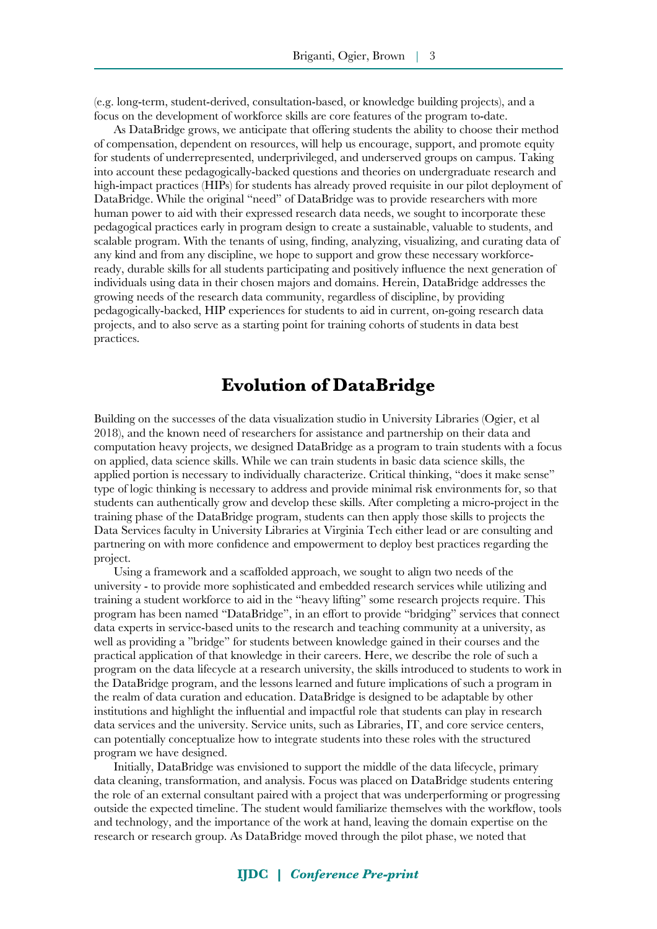(e.g. long-term, student-derived, consultation-based, or knowledge building projects), and a focus on the development of workforce skills are core features of the program to-date.

As DataBridge grows, we anticipate that offering students the ability to choose their method of compensation, dependent on resources, will help us encourage, support, and promote equity for students of underrepresented, underprivileged, and underserved groups on campus. Taking into account these pedagogically-backed questions and theories on undergraduate research and high-impact practices (HIPs) for students has already proved requisite in our pilot deployment of DataBridge. While the original "need" of DataBridge was to provide researchers with more human power to aid with their expressed research data needs, we sought to incorporate these pedagogical practices early in program design to create a sustainable, valuable to students, and scalable program. With the tenants of using, fnding, analyzing, visualizing, and curating data of any kind and from any discipline, we hope to support and grow these necessary workforceready, durable skills for all students participating and positively infuence the next generation of individuals using data in their chosen majors and domains. Herein, DataBridge addresses the growing needs of the research data community, regardless of discipline, by providing pedagogically-backed, HIP experiences for students to aid in current, on-going research data projects, and to also serve as a starting point for training cohorts of students in data best practices.

# **Evolution of DataBridge**

Building on the successes of the data visualization studio in University Libraries (Ogier, et al 2018), and the known need of researchers for assistance and partnership on their data and computation heavy projects, we designed DataBridge as a program to train students with a focus on applied, data science skills. While we can train students in basic data science skills, the applied portion is necessary to individually characterize. Critical thinking, "does it make sense" type of logic thinking is necessary to address and provide minimal risk environments for, so that students can authentically grow and develop these skills. After completing a micro-project in the training phase of the DataBridge program, students can then apply those skills to projects the Data Services faculty in University Libraries at Virginia Tech either lead or are consulting and partnering on with more confdence and empowerment to deploy best practices regarding the project.

Using a framework and a scaffolded approach, we sought to align two needs of the university - to provide more sophisticated and embedded research services while utilizing and training a student workforce to aid in the "heavy lifting" some research projects require. This program has been named "DataBridge", in an effort to provide "bridging" services that connect data experts in service-based units to the research and teaching community at a university, as well as providing a "bridge" for students between knowledge gained in their courses and the practical application of that knowledge in their careers. Here, we describe the role of such a program on the data lifecycle at a research university, the skills introduced to students to work in the DataBridge program, and the lessons learned and future implications of such a program in the realm of data curation and education. DataBridge is designed to be adaptable by other institutions and highlight the infuential and impactful role that students can play in research data services and the university. Service units, such as Libraries, IT, and core service centers, can potentially conceptualize how to integrate students into these roles with the structured program we have designed.

Initially, DataBridge was envisioned to support the middle of the data lifecycle, primary data cleaning, transformation, and analysis. Focus was placed on DataBridge students entering the role of an external consultant paired with a project that was underperforming or progressing outside the expected timeline. The student would familiarize themselves with the workfow, tools and technology, and the importance of the work at hand, leaving the domain expertise on the research or research group. As DataBridge moved through the pilot phase, we noted that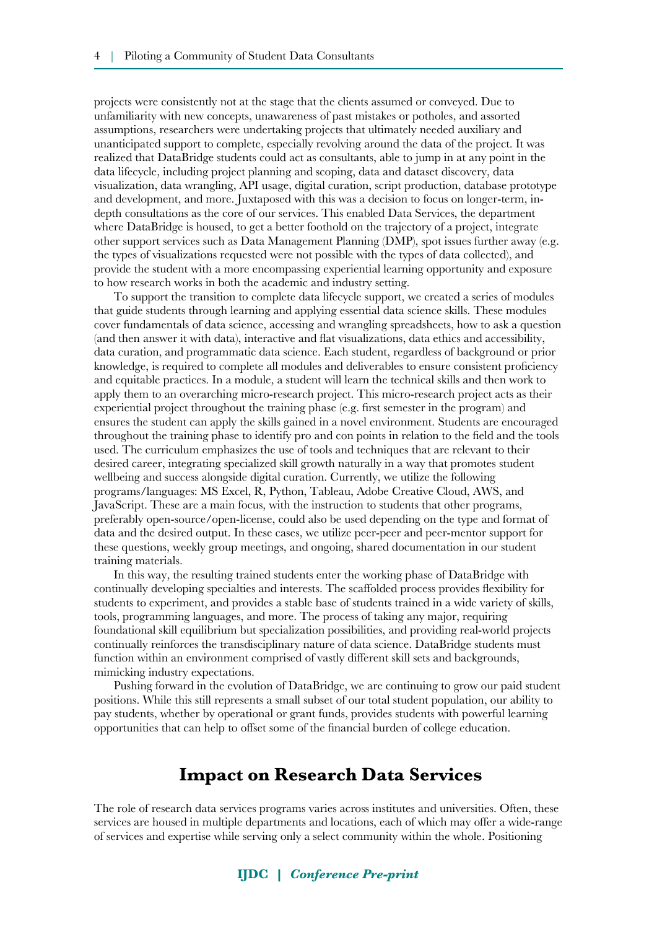projects were consistently not at the stage that the clients assumed or conveyed. Due to unfamiliarity with new concepts, unawareness of past mistakes or potholes, and assorted assumptions, researchers were undertaking projects that ultimately needed auxiliary and unanticipated support to complete, especially revolving around the data of the project. It was realized that DataBridge students could act as consultants, able to jump in at any point in the data lifecycle, including project planning and scoping, data and dataset discovery, data visualization, data wrangling, API usage, digital curation, script production, database prototype and development, and more. Juxtaposed with this was a decision to focus on longer-term, indepth consultations as the core of our services. This enabled Data Services, the department where DataBridge is housed, to get a better foothold on the trajectory of a project, integrate other support services such as Data Management Planning (DMP), spot issues further away (e.g. the types of visualizations requested were not possible with the types of data collected), and provide the student with a more encompassing experiential learning opportunity and exposure to how research works in both the academic and industry setting.

To support the transition to complete data lifecycle support, we created a series of modules that guide students through learning and applying essential data science skills. These modules cover fundamentals of data science, accessing and wrangling spreadsheets, how to ask a question (and then answer it with data), interactive and fat visualizations, data ethics and accessibility, data curation, and programmatic data science. Each student, regardless of background or prior knowledge, is required to complete all modules and deliverables to ensure consistent profciency and equitable practices. In a module, a student will learn the technical skills and then work to apply them to an overarching micro-research project. This micro-research project acts as their experiential project throughout the training phase (e.g. frst semester in the program) and ensures the student can apply the skills gained in a novel environment. Students are encouraged throughout the training phase to identify pro and con points in relation to the feld and the tools used. The curriculum emphasizes the use of tools and techniques that are relevant to their desired career, integrating specialized skill growth naturally in a way that promotes student wellbeing and success alongside digital curation. Currently, we utilize the following programs/languages: MS Excel, R, Python, Tableau, Adobe Creative Cloud, AWS, and JavaScript. These are a main focus, with the instruction to students that other programs, preferably open-source/open-license, could also be used depending on the type and format of data and the desired output. In these cases, we utilize peer-peer and peer-mentor support for these questions, weekly group meetings, and ongoing, shared documentation in our student training materials.

In this way, the resulting trained students enter the working phase of DataBridge with continually developing specialties and interests. The scaffolded process provides fexibility for students to experiment, and provides a stable base of students trained in a wide variety of skills, tools, programming languages, and more. The process of taking any major, requiring foundational skill equilibrium but specialization possibilities, and providing real-world projects continually reinforces the transdisciplinary nature of data science. DataBridge students must function within an environment comprised of vastly different skill sets and backgrounds, mimicking industry expectations.

Pushing forward in the evolution of DataBridge, we are continuing to grow our paid student positions. While this still represents a small subset of our total student population, our ability to pay students, whether by operational or grant funds, provides students with powerful learning opportunities that can help to offset some of the fnancial burden of college education.

# **Impact on Research Data Services**

The role of research data services programs varies across institutes and universities. Often, these services are housed in multiple departments and locations, each of which may offer a wide-range of services and expertise while serving only a select community within the whole. Positioning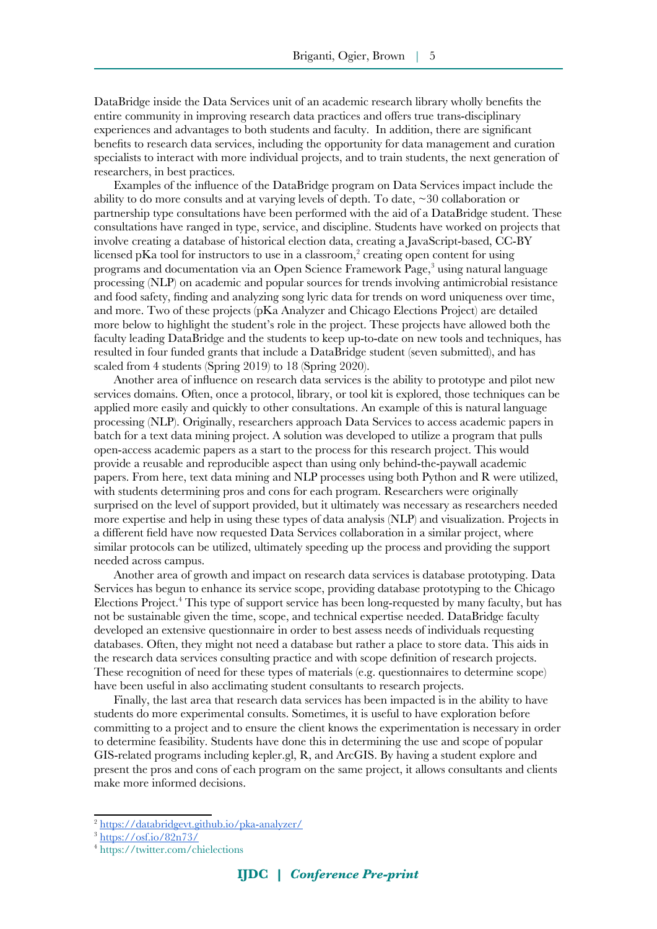DataBridge inside the Data Services unit of an academic research library wholly benefts the entire community in improving research data practices and offers true trans-disciplinary experiences and advantages to both students and faculty. In addition, there are signifcant benefts to research data services, including the opportunity for data management and curation specialists to interact with more individual projects, and to train students, the next generation of researchers, in best practices.

Examples of the infuence of the DataBridge program on Data Services impact include the ability to do more consults and at varying levels of depth. To date, ~30 collaboration or partnership type consultations have been performed with the aid of a DataBridge student. These consultations have ranged in type, service, and discipline. Students have worked on projects that involve creating a database of historical election data, creating a JavaScript-based, CC-BY licensed pKa tool for instructors to use in a classroom,<sup>[2](#page-4-0)</sup> creating open content for using programs and documentation via an Open Science Framework Page,<sup>[3](#page-4-1)</sup> using natural language processing (NLP) on academic and popular sources for trends involving antimicrobial resistance and food safety, fnding and analyzing song lyric data for trends on word uniqueness over time, and more. Two of these projects (pKa Analyzer and Chicago Elections Project) are detailed more below to highlight the student's role in the project. These projects have allowed both the faculty leading DataBridge and the students to keep up-to-date on new tools and techniques, has resulted in four funded grants that include a DataBridge student (seven submitted), and has scaled from 4 students (Spring 2019) to 18 (Spring 2020).

Another area of infuence on research data services is the ability to prototype and pilot new services domains. Often, once a protocol, library, or tool kit is explored, those techniques can be applied more easily and quickly to other consultations. An example of this is natural language processing (NLP). Originally, researchers approach Data Services to access academic papers in batch for a text data mining project. A solution was developed to utilize a program that pulls open-access academic papers as a start to the process for this research project. This would provide a reusable and reproducible aspect than using only behind-the-paywall academic papers. From here, text data mining and NLP processes using both Python and R were utilized, with students determining pros and cons for each program. Researchers were originally surprised on the level of support provided, but it ultimately was necessary as researchers needed more expertise and help in using these types of data analysis (NLP) and visualization. Projects in a different feld have now requested Data Services collaboration in a similar project, where similar protocols can be utilized, ultimately speeding up the process and providing the support needed across campus.

Another area of growth and impact on research data services is database prototyping. Data Services has begun to enhance its service scope, providing database prototyping to the Chicago Elections Project.<sup>[4](#page-4-2)</sup> This type of support service has been long-requested by many faculty, but has not be sustainable given the time, scope, and technical expertise needed. DataBridge faculty developed an extensive questionnaire in order to best assess needs of individuals requesting databases. Often, they might not need a database but rather a place to store data. This aids in the research data services consulting practice and with scope defnition of research projects. These recognition of need for these types of materials (e.g. questionnaires to determine scope) have been useful in also acclimating student consultants to research projects.

Finally, the last area that research data services has been impacted is in the ability to have students do more experimental consults. Sometimes, it is useful to have exploration before committing to a project and to ensure the client knows the experimentation is necessary in order to determine feasibility. Students have done this in determining the use and scope of popular GIS-related programs including kepler.gl, R, and ArcGIS. By having a student explore and present the pros and cons of each program on the same project, it allows consultants and clients make more informed decisions.

<span id="page-4-0"></span><sup>2</sup> <https://databridgevt.github.io/pka-analyzer/>

<span id="page-4-1"></span><sup>3</sup> <https://osf.io/82n73/>

<span id="page-4-2"></span><sup>4</sup> <https://twitter.com/chielections>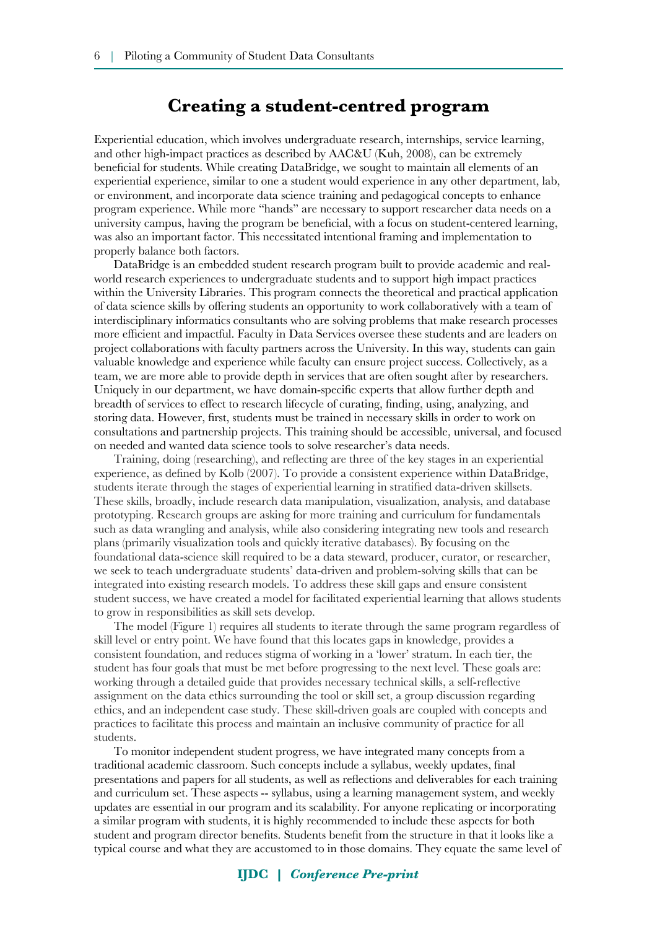#### **Creating a student-centred program**

Experiential education, which involves undergraduate research, internships, service learning, and other high-impact practices as described by AAC&U (Kuh, 2008), can be extremely benefcial for students. While creating DataBridge, we sought to maintain all elements of an experiential experience, similar to one a student would experience in any other department, lab, or environment, and incorporate data science training and pedagogical concepts to enhance program experience. While more "hands" are necessary to support researcher data needs on a university campus, having the program be benefcial, with a focus on student-centered learning, was also an important factor. This necessitated intentional framing and implementation to properly balance both factors.

DataBridge is an embedded student research program built to provide academic and realworld research experiences to undergraduate students and to support high impact practices within the University Libraries. This program connects the theoretical and practical application of data science skills by offering students an opportunity to work collaboratively with a team of interdisciplinary informatics consultants who are solving problems that make research processes more efficient and impactful. Faculty in Data Services oversee these students and are leaders on project collaborations with faculty partners across the University. In this way, students can gain valuable knowledge and experience while faculty can ensure project success. Collectively, as a team, we are more able to provide depth in services that are often sought after by researchers. Uniquely in our department, we have domain-specifc experts that allow further depth and breadth of services to effect to research lifecycle of curating, fnding, using, analyzing, and storing data. However, frst, students must be trained in necessary skills in order to work on consultations and partnership projects. This training should be accessible, universal, and focused on needed and wanted data science tools to solve researcher's data needs.

Training, doing (researching), and refecting are three of the key stages in an experiential experience, as defned by Kolb (2007). To provide a consistent experience within DataBridge, students iterate through the stages of experiential learning in stratifed data-driven skillsets. These skills, broadly, include research data manipulation, visualization, analysis, and database prototyping. Research groups are asking for more training and curriculum for fundamentals such as data wrangling and analysis, while also considering integrating new tools and research plans (primarily visualization tools and quickly iterative databases). By focusing on the foundational data-science skill required to be a data steward, producer, curator, or researcher, we seek to teach undergraduate students' data-driven and problem-solving skills that can be integrated into existing research models. To address these skill gaps and ensure consistent student success, we have created a model for facilitated experiential learning that allows students to grow in responsibilities as skill sets develop.

The model (Figure 1) requires all students to iterate through the same program regardless of skill level or entry point. We have found that this locates gaps in knowledge, provides a consistent foundation, and reduces stigma of working in a 'lower' stratum. In each tier, the student has four goals that must be met before progressing to the next level. These goals are: working through a detailed guide that provides necessary technical skills, a self-refective assignment on the data ethics surrounding the tool or skill set, a group discussion regarding ethics, and an independent case study. These skill-driven goals are coupled with concepts and practices to facilitate this process and maintain an inclusive community of practice for all students.

To monitor independent student progress, we have integrated many concepts from a traditional academic classroom. Such concepts include a syllabus, weekly updates, fnal presentations and papers for all students, as well as refections and deliverables for each training and curriculum set. These aspects -- syllabus, using a learning management system, and weekly updates are essential in our program and its scalability. For anyone replicating or incorporating a similar program with students, it is highly recommended to include these aspects for both student and program director benefts. Students beneft from the structure in that it looks like a typical course and what they are accustomed to in those domains. They equate the same level of

#### **IJDC |** *Conference Pre-print*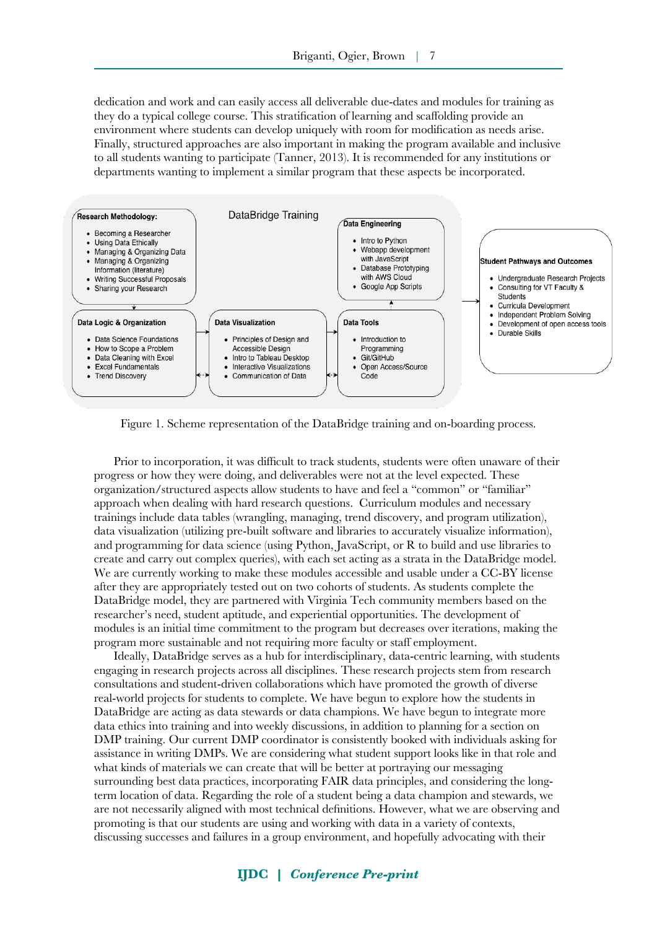dedication and work and can easily access all deliverable due-dates and modules for training as they do a typical college course. This stratifcation of learning and scaffolding provide an environment where students can develop uniquely with room for modifcation as needs arise. Finally, structured approaches are also important in making the program available and inclusive to all students wanting to participate (Tanner, 2013). It is recommended for any institutions or departments wanting to implement a similar program that these aspects be incorporated.



Figure 1. Scheme representation of the DataBridge training and on-boarding process.

Prior to incorporation, it was diffcult to track students, students were often unaware of their progress or how they were doing, and deliverables were not at the level expected. These organization/structured aspects allow students to have and feel a "common" or "familiar" approach when dealing with hard research questions. Curriculum modules and necessary trainings include data tables (wrangling, managing, trend discovery, and program utilization), data visualization (utilizing pre-built software and libraries to accurately visualize information), and programming for data science (using Python, JavaScript, or R to build and use libraries to create and carry out complex queries), with each set acting as a strata in the DataBridge model. We are currently working to make these modules accessible and usable under a CC-BY license after they are appropriately tested out on two cohorts of students. As students complete the DataBridge model, they are partnered with Virginia Tech community members based on the researcher's need, student aptitude, and experiential opportunities. The development of modules is an initial time commitment to the program but decreases over iterations, making the program more sustainable and not requiring more faculty or staff employment.

Ideally, DataBridge serves as a hub for interdisciplinary, data-centric learning, with students engaging in research projects across all disciplines. These research projects stem from research consultations and student-driven collaborations which have promoted the growth of diverse real-world projects for students to complete. We have begun to explore how the students in DataBridge are acting as data stewards or data champions. We have begun to integrate more data ethics into training and into weekly discussions, in addition to planning for a section on DMP training. Our current DMP coordinator is consistently booked with individuals asking for assistance in writing DMPs. We are considering what student support looks like in that role and what kinds of materials we can create that will be better at portraying our messaging surrounding best data practices, incorporating FAIR data principles, and considering the longterm location of data. Regarding the role of a student being a data champion and stewards, we are not necessarily aligned with most technical defnitions. However, what we are observing and promoting is that our students are using and working with data in a variety of contexts, discussing successes and failures in a group environment, and hopefully advocating with their

#### **IJDC |** *Conference Pre-print*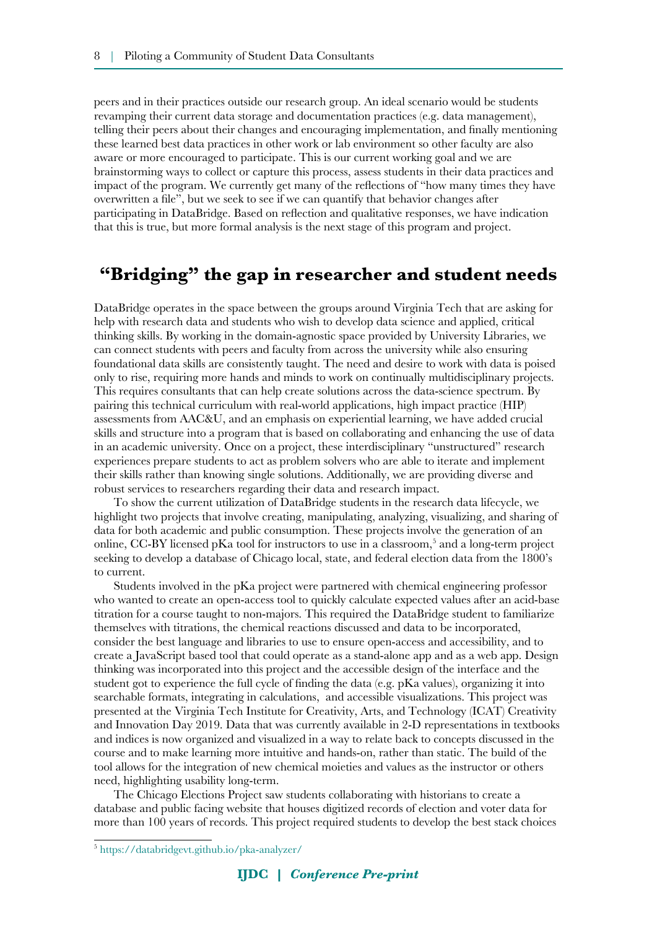peers and in their practices outside our research group. An ideal scenario would be students revamping their current data storage and documentation practices (e.g. data management), telling their peers about their changes and encouraging implementation, and fnally mentioning these learned best data practices in other work or lab environment so other faculty are also aware or more encouraged to participate. This is our current working goal and we are brainstorming ways to collect or capture this process, assess students in their data practices and impact of the program. We currently get many of the refections of "how many times they have overwritten a fle", but we seek to see if we can quantify that behavior changes after participating in DataBridge. Based on refection and qualitative responses, we have indication that this is true, but more formal analysis is the next stage of this program and project.

# **"Bridging" the gap in researcher and student needs**

DataBridge operates in the space between the groups around Virginia Tech that are asking for help with research data and students who wish to develop data science and applied, critical thinking skills. By working in the domain-agnostic space provided by University Libraries, we can connect students with peers and faculty from across the university while also ensuring foundational data skills are consistently taught. The need and desire to work with data is poised only to rise, requiring more hands and minds to work on continually multidisciplinary projects. This requires consultants that can help create solutions across the data-science spectrum. By pairing this technical curriculum with real-world applications, high impact practice (HIP) assessments from AAC&U, and an emphasis on experiential learning, we have added crucial skills and structure into a program that is based on collaborating and enhancing the use of data in an academic university. Once on a project, these interdisciplinary "unstructured" research experiences prepare students to act as problem solvers who are able to iterate and implement their skills rather than knowing single solutions. Additionally, we are providing diverse and robust services to researchers regarding their data and research impact.

To show the current utilization of DataBridge students in the research data lifecycle, we highlight two projects that involve creating, manipulating, analyzing, visualizing, and sharing of data for both academic and public consumption. These projects involve the generation of an online, CC-BY licensed pKa tool for instructors to use in a classroom,<sup>[5](#page-7-0)</sup> and a long-term project seeking to develop a database of Chicago local, state, and federal election data from the 1800's to current.

Students involved in the pKa project were partnered with chemical engineering professor who wanted to create an open-access tool to quickly calculate expected values after an acid-base titration for a course taught to non-majors. This required the DataBridge student to familiarize themselves with titrations, the chemical reactions discussed and data to be incorporated, consider the best language and libraries to use to ensure open-access and accessibility, and to create a JavaScript based tool that could operate as a stand-alone app and as a web app. Design thinking was incorporated into this project and the accessible design of the interface and the student got to experience the full cycle of finding the data (e.g.  $pKa$  values), organizing it into searchable formats, integrating in calculations, and accessible visualizations. This project was presented at the Virginia Tech Institute for Creativity, Arts, and Technology (ICAT) Creativity and Innovation Day 2019. Data that was currently available in 2-D representations in textbooks and indices is now organized and visualized in a way to relate back to concepts discussed in the course and to make learning more intuitive and hands-on, rather than static. The build of the tool allows for the integration of new chemical moieties and values as the instructor or others need, highlighting usability long-term.

The Chicago Elections Project saw students collaborating with historians to create a database and public facing website that houses digitized records of election and voter data for more than 100 years of records. This project required students to develop the best stack choices

<span id="page-7-0"></span><sup>5</sup> <https://databridgevt.github.io/pka-analyzer/>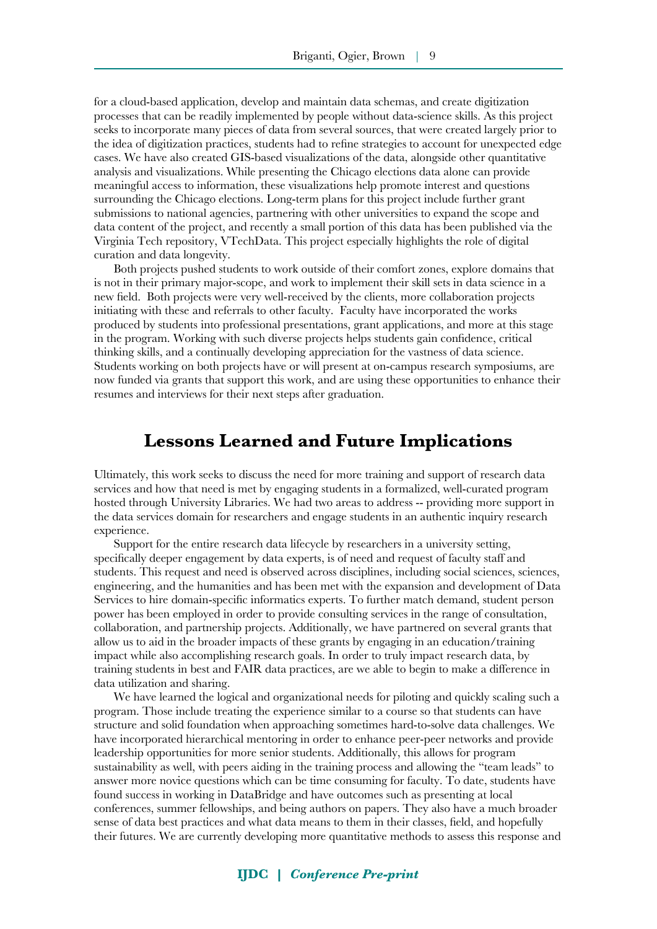for a cloud-based application, develop and maintain data schemas, and create digitization processes that can be readily implemented by people without data-science skills. As this project seeks to incorporate many pieces of data from several sources, that were created largely prior to the idea of digitization practices, students had to refne strategies to account for unexpected edge cases. We have also created GIS-based visualizations of the data, alongside other quantitative analysis and visualizations. While presenting the Chicago elections data alone can provide meaningful access to information, these visualizations help promote interest and questions surrounding the Chicago elections. Long-term plans for this project include further grant submissions to national agencies, partnering with other universities to expand the scope and data content of the project, and recently a small portion of this data has been published via the Virginia Tech repository, VTechData. This project especially highlights the role of digital curation and data longevity.

Both projects pushed students to work outside of their comfort zones, explore domains that is not in their primary major-scope, and work to implement their skill sets in data science in a new feld. Both projects were very well-received by the clients, more collaboration projects initiating with these and referrals to other faculty. Faculty have incorporated the works produced by students into professional presentations, grant applications, and more at this stage in the program. Working with such diverse projects helps students gain confdence, critical thinking skills, and a continually developing appreciation for the vastness of data science. Students working on both projects have or will present at on-campus research symposiums, are now funded via grants that support this work, and are using these opportunities to enhance their resumes and interviews for their next steps after graduation.

#### **Lessons Learned and Future Implications**

Ultimately, this work seeks to discuss the need for more training and support of research data services and how that need is met by engaging students in a formalized, well-curated program hosted through University Libraries. We had two areas to address -- providing more support in the data services domain for researchers and engage students in an authentic inquiry research experience.

Support for the entire research data lifecycle by researchers in a university setting, specifcally deeper engagement by data experts, is of need and request of faculty staff and students. This request and need is observed across disciplines, including social sciences, sciences, engineering, and the humanities and has been met with the expansion and development of Data Services to hire domain-specifc informatics experts. To further match demand, student person power has been employed in order to provide consulting services in the range of consultation, collaboration, and partnership projects. Additionally, we have partnered on several grants that allow us to aid in the broader impacts of these grants by engaging in an education/training impact while also accomplishing research goals. In order to truly impact research data, by training students in best and FAIR data practices, are we able to begin to make a difference in data utilization and sharing.

We have learned the logical and organizational needs for piloting and quickly scaling such a program. Those include treating the experience similar to a course so that students can have structure and solid foundation when approaching sometimes hard-to-solve data challenges. We have incorporated hierarchical mentoring in order to enhance peer-peer networks and provide leadership opportunities for more senior students. Additionally, this allows for program sustainability as well, with peers aiding in the training process and allowing the "team leads" to answer more novice questions which can be time consuming for faculty. To date, students have found success in working in DataBridge and have outcomes such as presenting at local conferences, summer fellowships, and being authors on papers. They also have a much broader sense of data best practices and what data means to them in their classes, feld, and hopefully their futures. We are currently developing more quantitative methods to assess this response and

#### **IJDC |** *Conference Pre-print*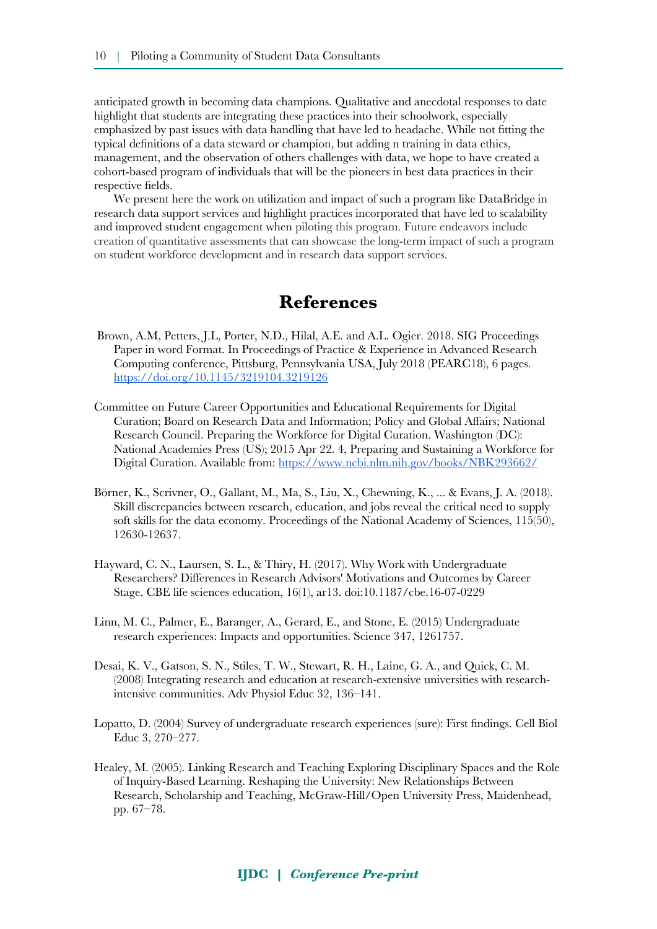anticipated growth in becoming data champions. Qualitative and anecdotal responses to date highlight that students are integrating these practices into their schoolwork, especially emphasized by past issues with data handling that have led to headache. While not ftting the typical defnitions of a data steward or champion, but adding n training in data ethics, management, and the observation of others challenges with data, we hope to have created a cohort-based program of individuals that will be the pioneers in best data practices in their respective felds.

We present here the work on utilization and impact of such a program like DataBridge in research data support services and highlight practices incorporated that have led to scalability and improved student engagement when piloting this program. Future endeavors include creation of quantitative assessments that can showcase the long-term impact of such a program on student workforce development and in research data support services.

#### **References**

- Brown, A.M, Petters, J.L, Porter, N.D., Hilal, A.E. and A.L. Ogier. 2018. SIG Proceedings Paper in word Format. In Proceedings of Practice & Experience in Advanced Research Computing conference, Pittsburg, Pennsylvania USA, July 2018 (PEARC18), 6 pages. <https://doi.org/10.1145/3219104.3219126>
- Committee on Future Career Opportunities and Educational Requirements for Digital Curation; Board on Research Data and Information; Policy and Global Affairs; National Research Council. Preparing the Workforce for Digital Curation. Washington (DC): National Academies Press (US); 2015 Apr 22. 4, Preparing and Sustaining a Workforce for Digital Curation. Available from:<https://www.ncbi.nlm.nih.gov/books/NBK293662/>
- Börner, K., Scrivner, O., Gallant, M., Ma, S., Liu, X., Chewning, K., ... & Evans, J. A. (2018). Skill discrepancies between research, education, and jobs reveal the critical need to supply soft skills for the data economy. Proceedings of the National Academy of Sciences, 115(50), 12630-12637.
- Hayward, C. N., Laursen, S. L., & Thiry, H. (2017). Why Work with Undergraduate Researchers? Differences in Research Advisors' Motivations and Outcomes by Career Stage. CBE life sciences education, 16(1), ar13. doi:10.1187/cbe.16-07-0229
- Linn, M. C., Palmer, E., Baranger, A., Gerard, E., and Stone, E. (2015) Undergraduate research experiences: Impacts and opportunities. Science 347, 1261757.
- Desai, K. V., Gatson, S. N., Stiles, T. W., Stewart, R. H., Laine, G. A., and Quick, C. M. (2008) Integrating research and education at research‐extensive universities with research‐ intensive communities. Adv Physiol Educ 32, 136–141.
- Lopatto, D. (2004) Survey of undergraduate research experiences (sure): First fndings. Cell Biol Educ 3, 270–277.
- Healey, M. (2005). Linking Research and Teaching Exploring Disciplinary Spaces and the Role of Inquiry‐Based Learning. Reshaping the University: New Relationships Between Research, Scholarship and Teaching, McGraw‐Hill/Open University Press, Maidenhead, pp. 67–78.